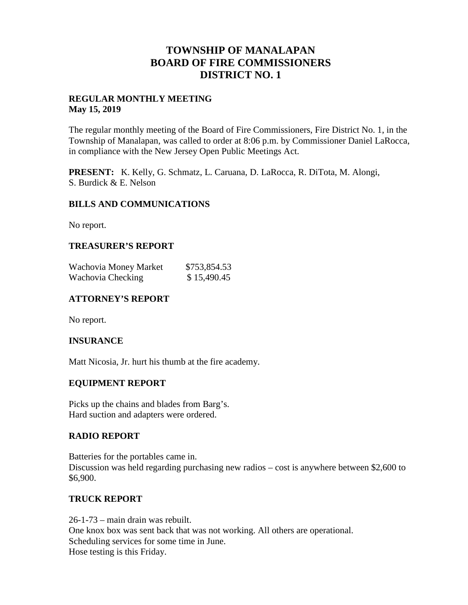## **TOWNSHIP OF MANALAPAN BOARD OF FIRE COMMISSIONERS DISTRICT NO. 1**

#### **REGULAR MONTHLY MEETING May 15, 2019**

The regular monthly meeting of the Board of Fire Commissioners, Fire District No. 1, in the Township of Manalapan, was called to order at 8:06 p.m. by Commissioner Daniel LaRocca, in compliance with the New Jersey Open Public Meetings Act.

**PRESENT:** K. Kelly, G. Schmatz, L. Caruana, D. LaRocca, R. DiTota, M. Alongi, S. Burdick & E. Nelson

## **BILLS AND COMMUNICATIONS**

No report.

## **TREASURER'S REPORT**

| Wachovia Money Market | \$753,854.53 |
|-----------------------|--------------|
| Wachovia Checking     | \$15,490.45  |

## **ATTORNEY'S REPORT**

No report.

#### **INSURANCE**

Matt Nicosia, Jr. hurt his thumb at the fire academy.

#### **EQUIPMENT REPORT**

Picks up the chains and blades from Barg's. Hard suction and adapters were ordered.

#### **RADIO REPORT**

Batteries for the portables came in. Discussion was held regarding purchasing new radios – cost is anywhere between \$2,600 to \$6,900.

#### **TRUCK REPORT**

26-1-73 – main drain was rebuilt. One knox box was sent back that was not working. All others are operational. Scheduling services for some time in June. Hose testing is this Friday.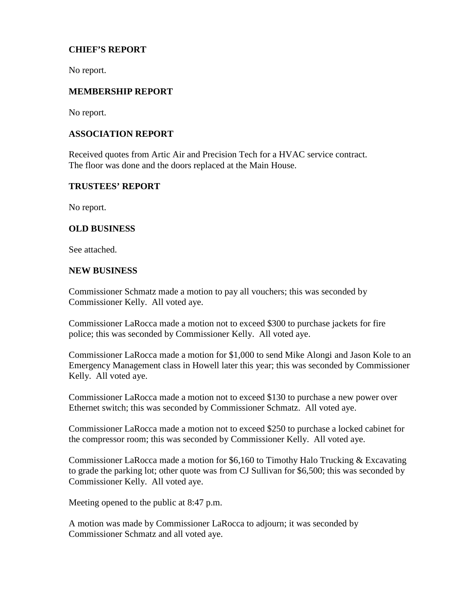## **CHIEF'S REPORT**

No report.

#### **MEMBERSHIP REPORT**

No report.

## **ASSOCIATION REPORT**

Received quotes from Artic Air and Precision Tech for a HVAC service contract. The floor was done and the doors replaced at the Main House.

#### **TRUSTEES' REPORT**

No report.

## **OLD BUSINESS**

See attached.

#### **NEW BUSINESS**

Commissioner Schmatz made a motion to pay all vouchers; this was seconded by Commissioner Kelly. All voted aye.

Commissioner LaRocca made a motion not to exceed \$300 to purchase jackets for fire police; this was seconded by Commissioner Kelly. All voted aye.

Commissioner LaRocca made a motion for \$1,000 to send Mike Alongi and Jason Kole to an Emergency Management class in Howell later this year; this was seconded by Commissioner Kelly. All voted aye.

Commissioner LaRocca made a motion not to exceed \$130 to purchase a new power over Ethernet switch; this was seconded by Commissioner Schmatz. All voted aye.

Commissioner LaRocca made a motion not to exceed \$250 to purchase a locked cabinet for the compressor room; this was seconded by Commissioner Kelly. All voted aye.

Commissioner LaRocca made a motion for \$6,160 to Timothy Halo Trucking  $& Excavating$ to grade the parking lot; other quote was from CJ Sullivan for \$6,500; this was seconded by Commissioner Kelly. All voted aye.

Meeting opened to the public at 8:47 p.m.

A motion was made by Commissioner LaRocca to adjourn; it was seconded by Commissioner Schmatz and all voted aye.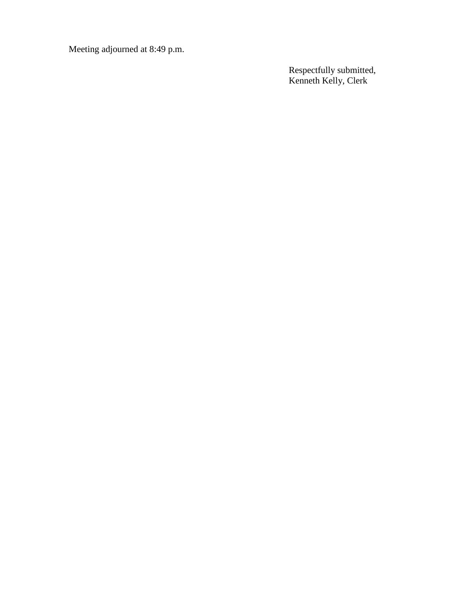Meeting adjourned at 8:49 p.m.

Respectfully submitted, Kenneth Kelly, Clerk